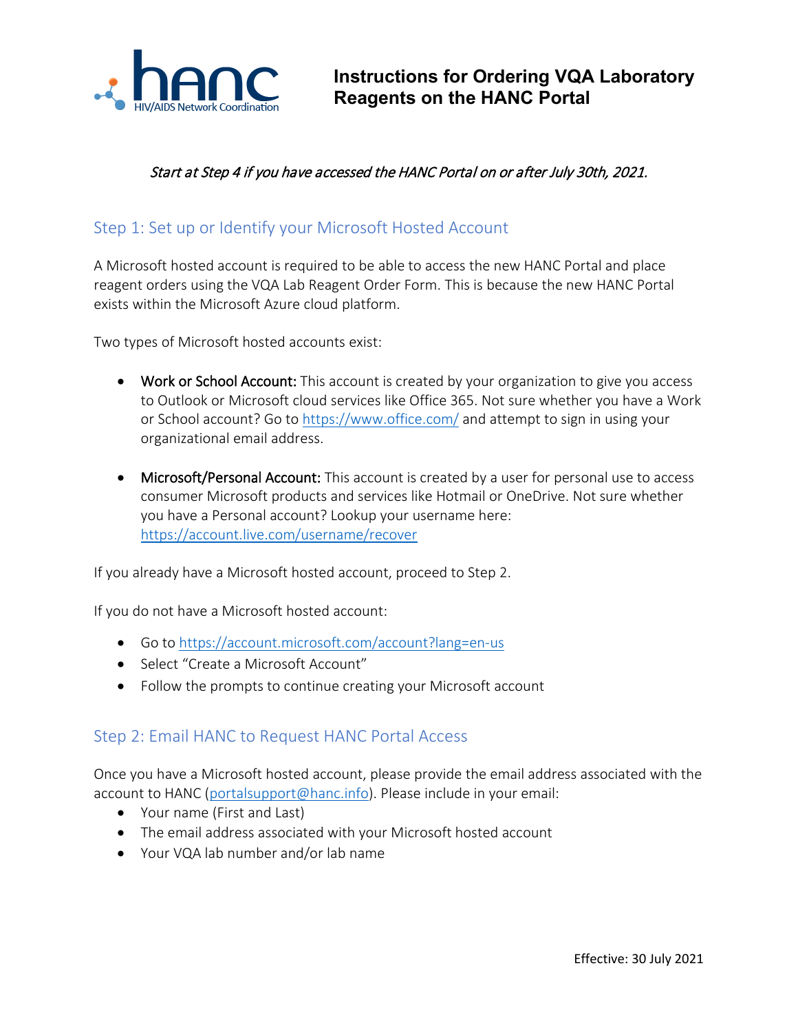

#### Start at Step 4 if you have accessed the HANC Portal on or after July 30th, 2021.

#### Step 1: Set up or Identify your Microsoft Hosted Account

A Microsoft hosted account is required to be able to access the new HANC Portal and place reagent orders using the VQA Lab Reagent Order Form. This is because the new HANC Portal exists within the Microsoft Azure cloud platform.

Two types of Microsoft hosted accounts exist:

- Work or School Account: This account is created by your organization to give you access to Outlook or Microsoft cloud services like Office 365. Not sure whether you have a Work or School account? Go to<https://www.office.com/> and attempt to sign in using your organizational email address.
- Microsoft/Personal Account: This account is created by a user for personal use to access consumer Microsoft products and services like Hotmail or OneDrive. Not sure whether you have a Personal account? Lookup your username here: <https://account.live.com/username/recover>

If you already have a Microsoft hosted account, proceed to Step 2.

If you do not have a Microsoft hosted account:

- Go to<https://account.microsoft.com/account?lang=en-us>
- Select "Create a Microsoft Account"
- Follow the prompts to continue creating your Microsoft account

#### Step 2: Email HANC to Request HANC Portal Access

Once you have a Microsoft hosted account, please provide the email address associated with the account to HANC [\(portalsupport@hanc.info\)](mailto:portalsupport@hanc.info). Please include in your email:

- Your name (First and Last)
- The email address associated with your Microsoft hosted account
- Your VQA lab number and/or lab name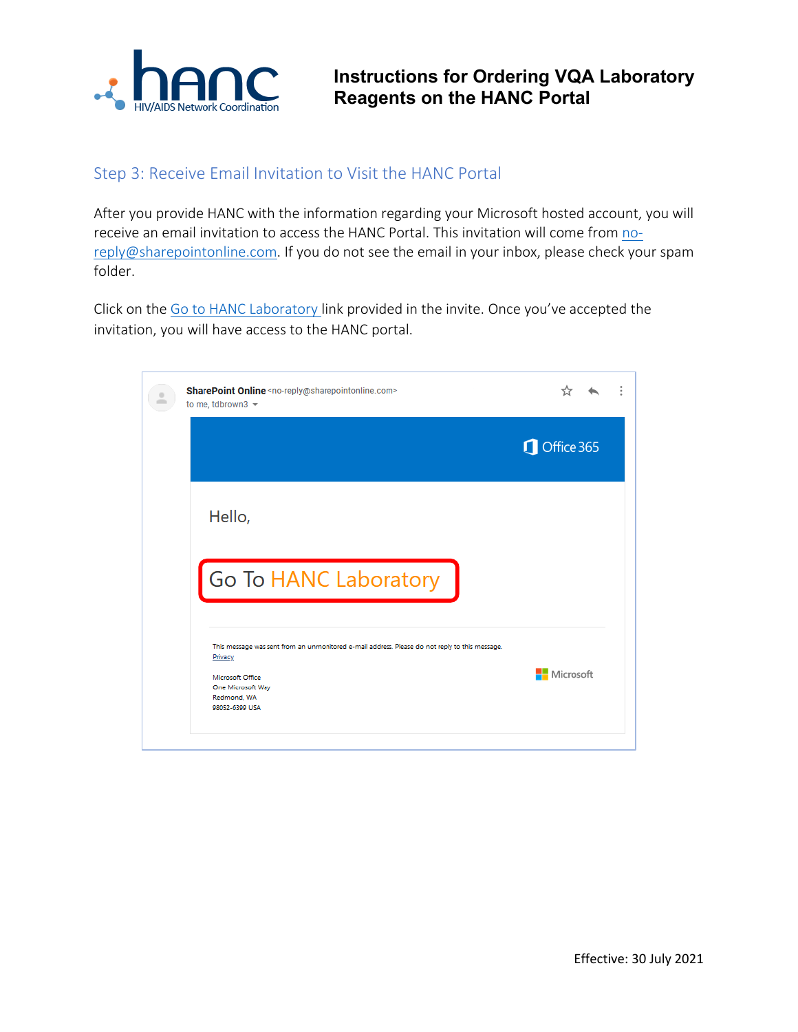

### Step 3: Receive Email Invitation to Visit the HANC Portal

After you provide HANC with the information regarding your Microsoft hosted account, you will receive an email invitation to access the HANC Portal. This invitation will come from [no](mailto:no-reply@sharepointonline.com)[reply@sharepointonline.com.](mailto:no-reply@sharepointonline.com) If you do not see the email in your inbox, please check your spam folder.

Click on the [Go to HANC Laboratory](https://fredhutch.sharepoint.com/sites/HANCLab) link provided in the invite. Once you've accepted the invitation, you will have access to the HANC portal.

| SharePoint Online <no-reply@sharepointonline.com><br/>to me, tdbrown3 <math>\sim</math></no-reply@sharepointonline.com>                                                             |            |  |
|-------------------------------------------------------------------------------------------------------------------------------------------------------------------------------------|------------|--|
|                                                                                                                                                                                     | Office 365 |  |
| Hello,                                                                                                                                                                              |            |  |
| Go To HANC Laboratory                                                                                                                                                               |            |  |
| This message was sent from an unmonitored e-mail address. Please do not reply to this message.<br>Privacy<br>Microsoft Office<br>One Microsoft Way<br>Redmond, WA<br>98052-6399 USA | Microsoft  |  |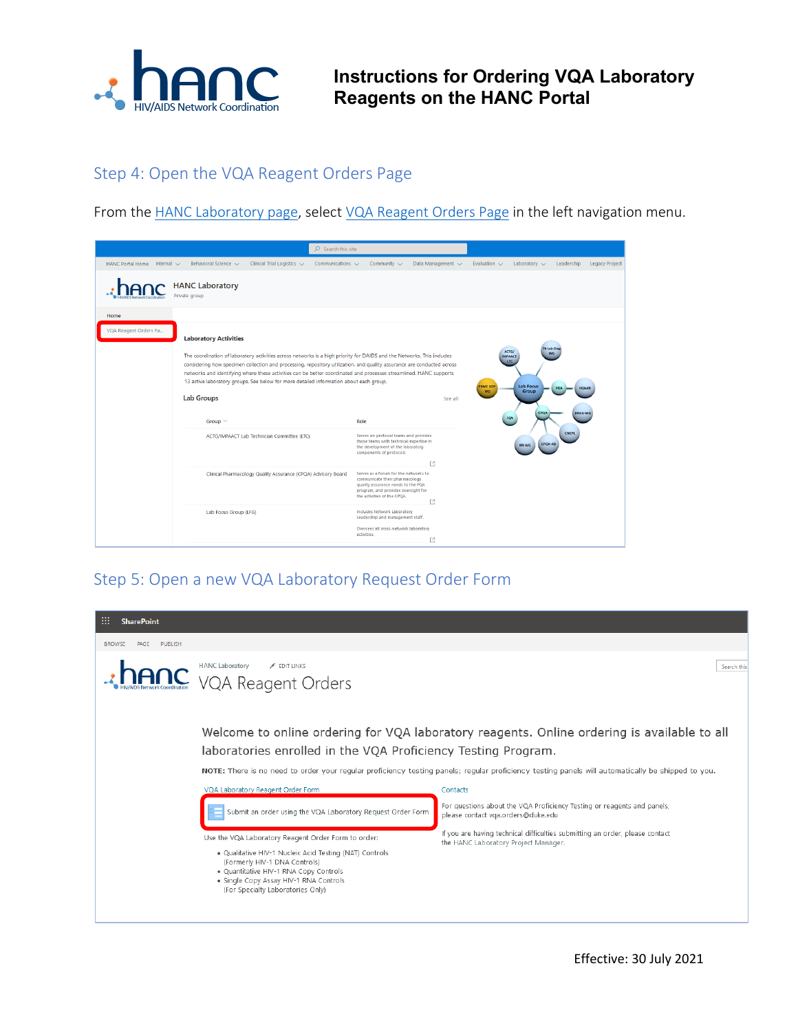

**Instructions for Ordering VQA Laboratory Reagents on the HANC Portal**

## Step 4: Open the [VQA Reagent Orders Page](https://fredhutch.sharepoint.com/sites/HANCLab/SitePages/VQA%20Reagent%20Orders.aspx?csf=1&web=1&e=yMBqTJ)

From the [HANC Laboratory page,](https://fredhutch.sharepoint.com/sites/HANCLab) select [VQA Reagent Orders Page](https://fredhutch.sharepoint.com/sites/HANCLab/SitePages/VQA%20Reagent%20Orders.aspx?csf=1&web=1&e=yMBqTJ) in the left navigation menu.

|                                  |                                                                                                                                                                                                                                                                                                                                                                                                                             |                                                                                        | $O$ Search this site  |                                                                                                                                                                                     |                   |                              |                                                                                         |                     |                       |
|----------------------------------|-----------------------------------------------------------------------------------------------------------------------------------------------------------------------------------------------------------------------------------------------------------------------------------------------------------------------------------------------------------------------------------------------------------------------------|----------------------------------------------------------------------------------------|-----------------------|-------------------------------------------------------------------------------------------------------------------------------------------------------------------------------------|-------------------|------------------------------|-----------------------------------------------------------------------------------------|---------------------|-----------------------|
| HANC Portal Home Internal $\vee$ | Behavioral Science ~                                                                                                                                                                                                                                                                                                                                                                                                        | Clinical Trial Logistics ~                                                             | Communications $\sim$ | Community $\sim$                                                                                                                                                                    | Data Management V | Evaluation $\vee$            | Laboratory $\sim$                                                                       | Leadership          | <b>Legacy Project</b> |
|                                  | <b>HANC Laboratory</b><br>Private group                                                                                                                                                                                                                                                                                                                                                                                     |                                                                                        |                       |                                                                                                                                                                                     |                   |                              |                                                                                         |                     |                       |
| Home<br>VQA Reagent Orders Pa    | <b>Laboratory Activities</b><br>The coordination of laboratory activities across networks is a high priority for DAIDS and the Networks. This includes<br>considering how specimen collection and processing, repository utilization, and quality assurance are conducted across<br>networks and identifying where these activities can be better coordinated and processes streamlined. HANC supports<br><b>Lab Groups</b> | 13 active laboratory groups. See below for more detailed information about each group. |                       |                                                                                                                                                                                     | See all           | <b>PBMC SOP</b><br><b>WG</b> | <b>TB Lab Diag</b><br>ACTG/<br>WG<br><b>IMPAACT</b><br>LTC<br><b>Lab Focus</b><br>Group | <b>VQA</b><br>VQAAB |                       |
|                                  | Group $\vee$                                                                                                                                                                                                                                                                                                                                                                                                                | ACTG/IMPAACT Lab Technician Committee (LTC)                                            | Role                  | Serves on protocol teams and provides<br>those teams with technical expertise in<br>the development of the laboratory<br>components of protocols                                    | $\Gamma$ 3        |                              | CPQA<br><b>IQA</b><br>CPQA-AB<br>RR-WG                                                  | BRAG-WG<br>CNCPL    |                       |
|                                  |                                                                                                                                                                                                                                                                                                                                                                                                                             | Clinical Pharmacology Quality Assurance (CPQA) Advisory Board                          |                       | Serves as a forum for the networks to<br>communicate their pharmacology<br>quality assurance needs to the PQA<br>program, and provides oversight for<br>the activities of the CPOA. | T4                |                              |                                                                                         |                     |                       |
|                                  | Lab Focus Group (LFG)                                                                                                                                                                                                                                                                                                                                                                                                       |                                                                                        |                       | <b>Includes Network Laboratory</b><br>Leadership and management staff.<br>Oversees all cross-network laboratory<br>activities.                                                      | 凹                 |                              |                                                                                         |                     |                       |

# Step 5: Open a new VQA Laboratory Request Order Form